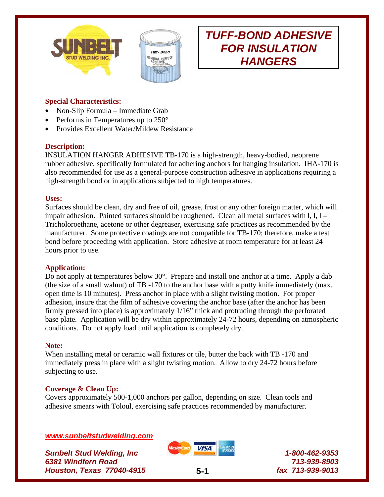



# **Special Characteristics:**

- Non-Slip Formula Immediate Grab
- Performs in Temperatures up to 250°
- Provides Excellent Water/Mildew Resistance

### **Description:**

INSULATION HANGER ADHESIVE TB-170 is a high-strength, heavy-bodied, neoprene rubber adhesive, specifically formulated for adhering anchors for hanging insulation. IHA-170 is also recommended for use as a general-purpose construction adhesive in applications requiring a high-strength bond or in applications subjected to high temperatures.

#### **Uses:**

Surfaces should be clean, dry and free of oil, grease, frost or any other foreign matter, which will impair adhesion. Painted surfaces should be roughened. Clean all metal surfaces with  $l, l, l -$ Tricholoroethane, acetone or other degreaser, exercising safe practices as recommended by the manufacturer. Some protective coatings are not compatible for TB-170; therefore, make a test bond before proceeding with application. Store adhesive at room temperature for at least 24 hours prior to use.

### **Application:**

Do not apply at temperatures below 30°. Prepare and install one anchor at a time. Apply a dab (the size of a small walnut) of TB -170 to the anchor base with a putty knife immediately (max. open time is 10 minutes). Press anchor in place with a slight twisting motion. For proper adhesion, insure that the film of adhesive covering the anchor base (after the anchor has been firmly pressed into place) is approximately 1/16" thick and protruding through the perforated base plate. Application will be dry within approximately 24-72 hours, depending on atmospheric conditions. Do not apply load until application is completely dry.

### **Note:**

When installing metal or ceramic wall fixtures or tile, butter the back with TB -170 and immediately press in place with a slight twisting motion. Allow to dry 24-72 hours before subjecting to use.

### **Coverage & Clean Up:**

Covers approximately 500-1,000 anchors per gallon, depending on size. Clean tools and adhesive smears with Toloul, exercising safe practices recommended by manufacturer.

### *www.sunbeltstudwelding.com*

*Sunbelt Stud Welding, Inc 6381 Windfern Road Houston, Texas 77040-4915* **5-1**



*1-800-462-9353 713-939-8903 fax 713-939-9013*